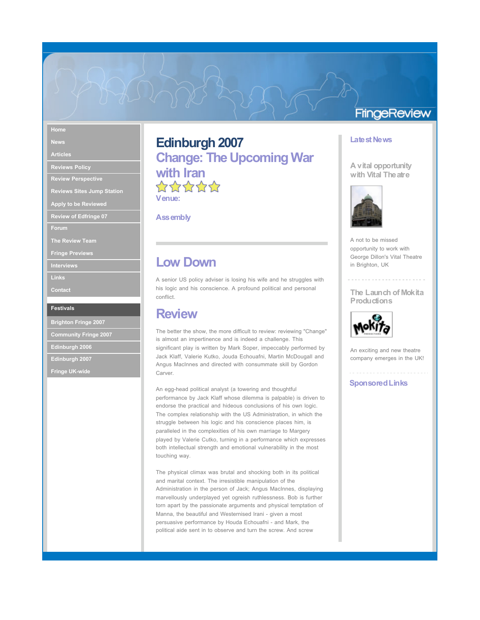### **Home**

**News**

**Articles**

**Reviews Policy Review Perspective**

**Reviews Sites Jump Station**

**Apply to be Reviewed**

**Review of Edfringe 07**

**Forum**

**The Review Team**

**Fringe Previews**

**Interviews**

**Links**

**Contact**

#### **Festivals**

**Brighton Fringe 2007 Community Fringe 2007**

**Edinburgh 2006**

**Edinburgh 2007**

**Fringe UK-wide**

# **Edinburgh 2007 Change: The UpcomingWar with Iran**<br>☆☆☆☆☆ **Venue:**

**Assembly**

## **Low Down**

A senior US policy adviser is losing his wife and he struggles with his logic and his conscience. A profound political and personal conflict.

### **Review**

The better the show, the more difficult to review: reviewing "Change" is almost an impertinence and is indeed a challenge. This significant play is written by Mark Soper, impeccably performed by Jack Klaff, Valerie Kutko, Jouda Echouafni, Martin McDougall and Angus MacInnes and directed with consummate skill by Gordon Carver.

An egg-head political analyst (a towering and thoughtful performance by Jack Klaff whose dilemma is palpable) is driven to endorse the practical and hideous conclusions of his own logic. The complex relationship with the US Administration, in which the struggle between his logic and his conscience places him, is paralleled in the complexities of his own marriage to Margery played by Valerie Cutko, turning in a performance which expresses both intellectual strength and emotional vulnerability in the most touching way.

The physical climax was brutal and shocking both in its political and marital context. The irresistible manipulation of the Administration in the person of Jack; Angus MacInnes, displaying marvellously underplayed yet ogreish ruthlessness. Bob is further torn apart by the passionate arguments and physical temptation of Manna, the beautiful and Westernised Irani - given a most persuasive performance by Houda Echouafni - and Mark, the political aide sent in to observe and turn the screw. And screw

### **FringeReview**

#### **Latest News**

#### **A vital opportunity with Vital Theatre**



A not to be missed opportunity to work with George Dillon's Vital Theatre in Brighton, UK

**The Launch of Mokita Productions**



An exciting and new theatre company emerges in the UK!

**SponsoredLinks**